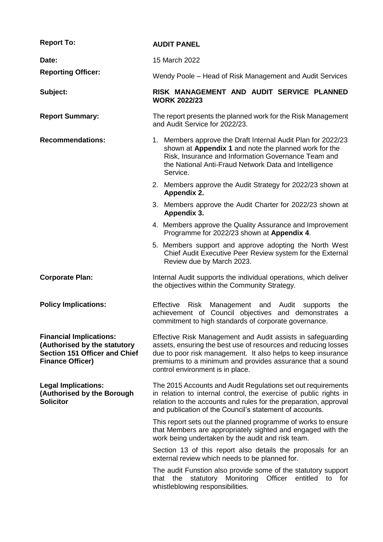| <b>Report To:</b>                                                                                                                 | <b>AUDIT PANEL</b>                                                                                                                                                                                                                                                                             |  |
|-----------------------------------------------------------------------------------------------------------------------------------|------------------------------------------------------------------------------------------------------------------------------------------------------------------------------------------------------------------------------------------------------------------------------------------------|--|
| Date:                                                                                                                             | 15 March 2022                                                                                                                                                                                                                                                                                  |  |
| <b>Reporting Officer:</b>                                                                                                         | Wendy Poole – Head of Risk Management and Audit Services                                                                                                                                                                                                                                       |  |
| Subject:                                                                                                                          | RISK MANAGEMENT AND AUDIT SERVICE PLANNED<br><b>WORK 2022/23</b>                                                                                                                                                                                                                               |  |
| <b>Report Summary:</b>                                                                                                            | The report presents the planned work for the Risk Management<br>and Audit Service for 2022/23.                                                                                                                                                                                                 |  |
| <b>Recommendations:</b>                                                                                                           | 1. Members approve the Draft Internal Audit Plan for 2022/23<br>shown at Appendix 1 and note the planned work for the<br>Risk, Insurance and Information Governance Team and<br>the National Anti-Fraud Network Data and Intelligence<br>Service.                                              |  |
|                                                                                                                                   | 2. Members approve the Audit Strategy for 2022/23 shown at<br>Appendix 2.                                                                                                                                                                                                                      |  |
|                                                                                                                                   | 3. Members approve the Audit Charter for 2022/23 shown at<br>Appendix 3.                                                                                                                                                                                                                       |  |
|                                                                                                                                   | 4. Members approve the Quality Assurance and Improvement<br>Programme for 2022/23 shown at Appendix 4.                                                                                                                                                                                         |  |
|                                                                                                                                   | 5. Members support and approve adopting the North West<br>Chief Audit Executive Peer Review system for the External<br>Review due by March 2023.                                                                                                                                               |  |
| <b>Corporate Plan:</b>                                                                                                            | Internal Audit supports the individual operations, which deliver<br>the objectives within the Community Strategy.                                                                                                                                                                              |  |
| <b>Policy Implications:</b>                                                                                                       | Effective<br>Risk Management and<br>Audit<br>the<br>supports<br>achievement of Council objectives and demonstrates a<br>commitment to high standards of corporate governance.                                                                                                                  |  |
| <b>Financial Implications:</b><br>(Authorised by the statutory<br><b>Section 151 Officer and Chief</b><br><b>Finance Officer)</b> | Effective Risk Management and Audit assists in safeguarding<br>assets, ensuring the best use of resources and reducing losses<br>due to poor risk management. It also helps to keep insurance<br>premiums to a minimum and provides assurance that a sound<br>control environment is in place. |  |
| <b>Legal Implications:</b><br>(Authorised by the Borough<br><b>Solicitor</b>                                                      | The 2015 Accounts and Audit Regulations set out requirements<br>in relation to internal control, the exercise of public rights in<br>relation to the accounts and rules for the preparation, approval<br>and publication of the Council's statement of accounts.                               |  |
|                                                                                                                                   | This report sets out the planned programme of works to ensure<br>that Members are appropriately sighted and engaged with the<br>work being undertaken by the audit and risk team.                                                                                                              |  |
|                                                                                                                                   | Section 13 of this report also details the proposals for an<br>external review which needs to be planned for.                                                                                                                                                                                  |  |
|                                                                                                                                   | The audit Funstion also provide some of the statutory support<br>statutory<br>Monitoring<br>Officer<br>entitled<br>to<br>that the<br>for<br>whistleblowing responsibilities.                                                                                                                   |  |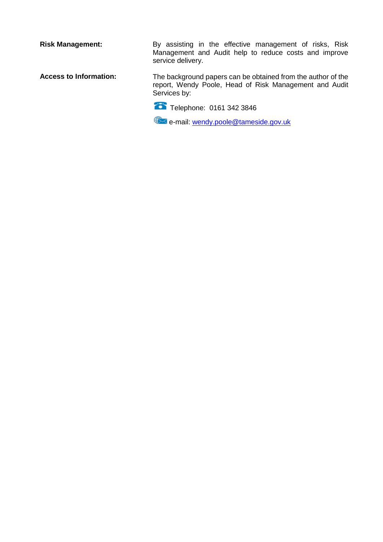**Risk Management:** By assisting in the effective management of risks, Risk Management and Audit help to reduce costs and improve service delivery.

**Access to Information:** The background papers can be obtained from the author of the report, Wendy Poole, Head of Risk Management and Audit Services by:

Telephone: 0161 342 3846

**Example 2** e-mail: [wendy.poole@tameside.gov.uk](mailto:wendy.poole@tameside.gov.uk)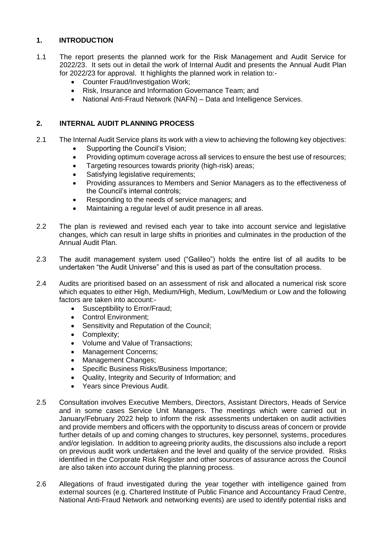# **1. INTRODUCTION**

- 1.1 The report presents the planned work for the Risk Management and Audit Service for 2022/23. It sets out in detail the work of Internal Audit and presents the Annual Audit Plan for 2022/23 for approval. It highlights the planned work in relation to:-
	- Counter Fraud/Investigation Work;
	- Risk, Insurance and Information Governance Team; and
	- National Anti-Fraud Network (NAFN) Data and Intelligence Services.

## **2. INTERNAL AUDIT PLANNING PROCESS**

- 2.1 The Internal Audit Service plans its work with a view to achieving the following key objectives:
	- Supporting the Council's Vision;
	- Providing optimum coverage across all services to ensure the best use of resources;
	- Targeting resources towards priority (high-risk) areas;
	- Satisfying legislative requirements;
	- Providing assurances to Members and Senior Managers as to the effectiveness of the Council's internal controls;
	- Responding to the needs of service managers; and
	- Maintaining a regular level of audit presence in all areas.
- 2.2 The plan is reviewed and revised each year to take into account service and legislative changes, which can result in large shifts in priorities and culminates in the production of the Annual Audit Plan.
- 2.3 The audit management system used ("Galileo") holds the entire list of all audits to be undertaken "the Audit Universe" and this is used as part of the consultation process.
- 2.4 Audits are prioritised based on an assessment of risk and allocated a numerical risk score which equates to either High, Medium/High, Medium, Low/Medium or Low and the following factors are taken into account:-
	- Susceptibility to Error/Fraud;
	- Control Environment;
	- Sensitivity and Reputation of the Council;
	- Complexity;
	- Volume and Value of Transactions;
	- Management Concerns;
	- Management Changes;
	- Specific Business Risks/Business Importance;
	- Quality, Integrity and Security of Information; and
	- Years since Previous Audit.
- 2.5 Consultation involves Executive Members, Directors, Assistant Directors, Heads of Service and in some cases Service Unit Managers. The meetings which were carried out in January/February 2022 help to inform the risk assessments undertaken on audit activities and provide members and officers with the opportunity to discuss areas of concern or provide further details of up and coming changes to structures, key personnel, systems, procedures and/or legislation. In addition to agreeing priority audits, the discussions also include a report on previous audit work undertaken and the level and quality of the service provided. Risks identified in the Corporate Risk Register and other sources of assurance across the Council are also taken into account during the planning process.
- 2.6 Allegations of fraud investigated during the year together with intelligence gained from external sources (e.g. Chartered Institute of Public Finance and Accountancy Fraud Centre, National Anti-Fraud Network and networking events) are used to identify potential risks and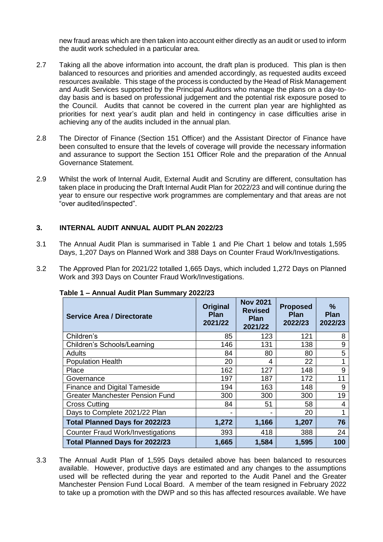new fraud areas which are then taken into account either directly as an audit or used to inform the audit work scheduled in a particular area.

- 2.7 Taking all the above information into account, the draft plan is produced. This plan is then balanced to resources and priorities and amended accordingly, as requested audits exceed resources available. This stage of the process is conducted by the Head of Risk Management and Audit Services supported by the Principal Auditors who manage the plans on a day-today basis and is based on professional judgement and the potential risk exposure posed to the Council. Audits that cannot be covered in the current plan year are highlighted as priorities for next year's audit plan and held in contingency in case difficulties arise in achieving any of the audits included in the annual plan.
- 2.8 The Director of Finance (Section 151 Officer) and the Assistant Director of Finance have been consulted to ensure that the levels of coverage will provide the necessary information and assurance to support the Section 151 Officer Role and the preparation of the Annual Governance Statement.
- 2.9 Whilst the work of Internal Audit, External Audit and Scrutiny are different, consultation has taken place in producing the Draft Internal Audit Plan for 2022/23 and will continue during the year to ensure our respective work programmes are complementary and that areas are not "over audited/inspected".

## **3. INTERNAL AUDIT ANNUAL AUDIT PLAN 2022/23**

- 3.1 The Annual Audit Plan is summarised in Table 1 and Pie Chart 1 below and totals 1,595 Days, 1,207 Days on Planned Work and 388 Days on Counter Fraud Work/Investigations.
- 3.2 The Approved Plan for 2021/22 totalled 1,665 Days, which included 1,272 Days on Planned Work and 393 Days on Counter Fraud Work/Investigations.

| <b>Service Area / Directorate</b>        | <b>Original</b><br><b>Plan</b><br>2021/22 | <b>Nov 2021</b><br><b>Revised</b><br><b>Plan</b><br>2021/22 | <b>Proposed</b><br><b>Plan</b><br>2022/23 | ℅<br><b>Plan</b><br>2022/23 |
|------------------------------------------|-------------------------------------------|-------------------------------------------------------------|-------------------------------------------|-----------------------------|
| Children's                               | 85                                        | 123                                                         | 121                                       | 8                           |
| Children's Schools/Learning              | 146                                       | 131                                                         | 138                                       | 9                           |
| <b>Adults</b>                            | 84                                        | 80                                                          | 80                                        | 5                           |
| <b>Population Health</b>                 | 20                                        | 4                                                           | 22                                        |                             |
| Place                                    | 162                                       | 127                                                         | 148                                       | 9                           |
| Governance                               | 197                                       | 187                                                         | 172                                       | 11                          |
| <b>Finance and Digital Tameside</b>      | 194                                       | 163                                                         | 148                                       | 9                           |
| <b>Greater Manchester Pension Fund</b>   | 300                                       | 300                                                         | 300                                       | 19                          |
| <b>Cross Cutting</b>                     | 84                                        | 51                                                          | 58                                        | 4                           |
| Days to Complete 2021/22 Plan            | -                                         | -                                                           | 20                                        | 1                           |
| <b>Total Planned Days for 2022/23</b>    | 1,272                                     | 1,166                                                       | 1,207                                     | 76                          |
| <b>Counter Fraud Work/Investigations</b> | 393                                       | 418                                                         | 388                                       | 24                          |
| <b>Total Planned Days for 2022/23</b>    | 1,665                                     | 1,584                                                       | 1,595                                     | 100                         |

#### **Table 1 – Annual Audit Plan Summary 2022/23**

3.3 The Annual Audit Plan of 1,595 Days detailed above has been balanced to resources available. However, productive days are estimated and any changes to the assumptions used will be reflected during the year and reported to the Audit Panel and the Greater Manchester Pension Fund Local Board. A member of the team resigned in February 2022 to take up a promotion with the DWP and so this has affected resources available. We have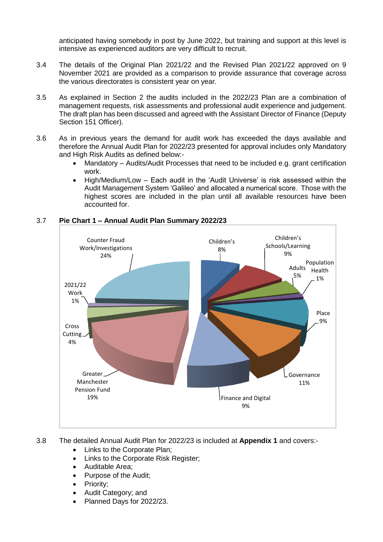anticipated having somebody in post by June 2022, but training and support at this level is intensive as experienced auditors are very difficult to recruit.

- 3.4 The details of the Original Plan 2021/22 and the Revised Plan 2021/22 approved on 9 November 2021 are provided as a comparison to provide assurance that coverage across the various directorates is consistent year on year.
- 3.5 As explained in Section 2 the audits included in the 2022/23 Plan are a combination of management requests, risk assessments and professional audit experience and judgement. The draft plan has been discussed and agreed with the Assistant Director of Finance (Deputy Section 151 Officer).
- 3.6 As in previous years the demand for audit work has exceeded the days available and therefore the Annual Audit Plan for 2022/23 presented for approval includes only Mandatory and High Risk Audits as defined below:-
	- Mandatory Audits/Audit Processes that need to be included e.g. grant certification work.
	- High/Medium/Low Each audit in the 'Audit Universe' is risk assessed within the Audit Management System 'Galileo' and allocated a numerical score. Those with the highest scores are included in the plan until all available resources have been accounted for.



## 3.7 **Pie Chart 1 – Annual Audit Plan Summary 2022/23**

- 3.8 The detailed Annual Audit Plan for 2022/23 is included at **Appendix 1** and covers:-
	- Links to the Corporate Plan;
	- Links to the Corporate Risk Register;
	- Auditable Area;
	- Purpose of the Audit;
	- Priority;
	- Audit Category; and
	- Planned Days for 2022/23.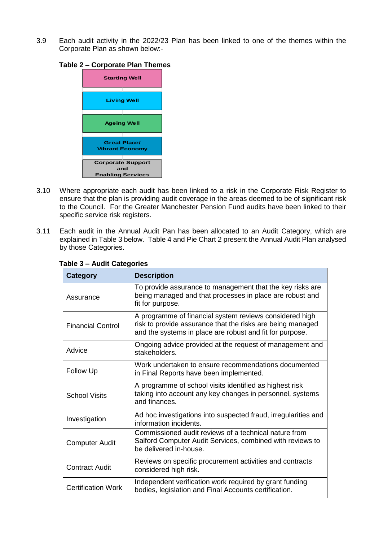3.9 Each audit activity in the 2022/23 Plan has been linked to one of the themes within the Corporate Plan as shown below:-

### **Table 2 – Corporate Plan Themes**



- 3.10 Where appropriate each audit has been linked to a risk in the Corporate Risk Register to ensure that the plan is providing audit coverage in the areas deemed to be of significant risk to the Council. For the Greater Manchester Pension Fund audits have been linked to their specific service risk registers.
- 3.11 Each audit in the Annual Audit Pan has been allocated to an Audit Category, which are explained in Table 3 below. Table 4 and Pie Chart 2 present the Annual Audit Plan analysed by those Categories.

| <b>Category</b>           | <b>Description</b>                                                                                                                                                                |  |
|---------------------------|-----------------------------------------------------------------------------------------------------------------------------------------------------------------------------------|--|
| Assurance                 | To provide assurance to management that the key risks are<br>being managed and that processes in place are robust and<br>fit for purpose.                                         |  |
| <b>Financial Control</b>  | A programme of financial system reviews considered high<br>risk to provide assurance that the risks are being managed<br>and the systems in place are robust and fit for purpose. |  |
| Advice                    | Ongoing advice provided at the request of management and<br>stakeholders.                                                                                                         |  |
| <b>Follow Up</b>          | Work undertaken to ensure recommendations documented<br>in Final Reports have been implemented.                                                                                   |  |
| <b>School Visits</b>      | A programme of school visits identified as highest risk<br>taking into account any key changes in personnel, systems<br>and finances.                                             |  |
| Investigation             | Ad hoc investigations into suspected fraud, irregularities and<br>information incidents.                                                                                          |  |
| <b>Computer Audit</b>     | Commissioned audit reviews of a technical nature from<br>Salford Computer Audit Services, combined with reviews to<br>be delivered in-house.                                      |  |
| <b>Contract Audit</b>     | Reviews on specific procurement activities and contracts<br>considered high risk.                                                                                                 |  |
| <b>Certification Work</b> | Independent verification work required by grant funding<br>bodies, legislation and Final Accounts certification.                                                                  |  |

### **Table 3 – Audit Categories**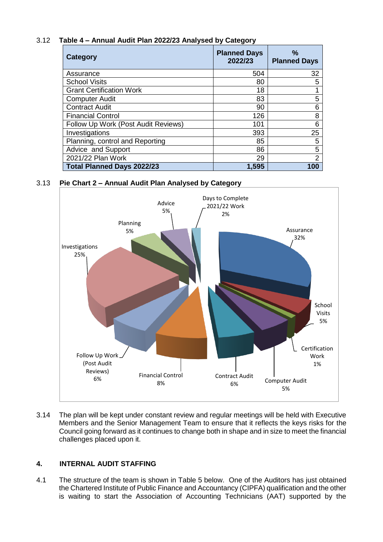# 3.12 **Table 4 – Annual Audit Plan 2022/23 Analysed by Category**

| Category                            | <b>Planned Days</b><br>2022/23 | $\%$<br><b>Planned Days</b> |
|-------------------------------------|--------------------------------|-----------------------------|
| Assurance                           | 504                            | 32                          |
| <b>School Visits</b>                | 80                             | 5                           |
| <b>Grant Certification Work</b>     | 18                             |                             |
| <b>Computer Audit</b>               | 83                             | 5                           |
| <b>Contract Audit</b>               | 90                             | 6                           |
| <b>Financial Control</b>            | 126                            | 8                           |
| Follow Up Work (Post Audit Reviews) | 101                            | 6                           |
| Investigations                      | 393                            | 25                          |
| Planning, control and Reporting     | 85                             | 5                           |
| Advice and Support                  | 86                             | 5                           |
| 2021/22 Plan Work                   | 29                             | $\overline{2}$              |
| <b>Total Planned Days 2022/23</b>   | 1,595                          | 100                         |

# 3.13 **Pie Chart 2 – Annual Audit Plan Analysed by Category**



3.14 The plan will be kept under constant review and regular meetings will be held with Executive Members and the Senior Management Team to ensure that it reflects the keys risks for the Council going forward as it continues to change both in shape and in size to meet the financial challenges placed upon it.

# **4. INTERNAL AUDIT STAFFING**

4.1 The structure of the team is shown in Table 5 below. One of the Auditors has just obtained the Chartered Institute of Public Finance and Accountancy (CIPFA) qualification and the other is waiting to start the Association of Accounting Technicians (AAT) supported by the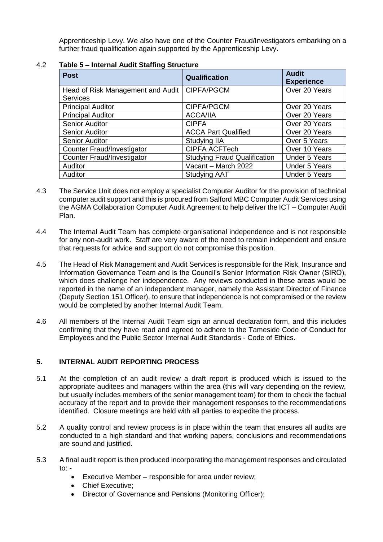Apprenticeship Levy. We also have one of the Counter Fraud/Investigators embarking on a further fraud qualification again supported by the Apprenticeship Levy.

| <b>Post</b>                                 | <b>Qualification</b>                | <b>Audit</b><br><b>Experience</b> |
|---------------------------------------------|-------------------------------------|-----------------------------------|
| Head of Risk Management and Audit           | <b>CIPFA/PGCM</b>                   | Over 20 Years                     |
| <b>Services</b><br><b>Principal Auditor</b> | CIPFA/PGCM                          | Over 20 Years                     |
| <b>Principal Auditor</b>                    | <b>ACCA/IIA</b>                     | Over 20 Years                     |
| Senior Auditor                              | <b>CIPFA</b>                        | Over 20 Years                     |
| Senior Auditor                              | <b>ACCA Part Qualified</b>          | Over 20 Years                     |
| Senior Auditor                              | Studying IIA                        | Over 5 Years                      |
| <b>Counter Fraud/Investigator</b>           | <b>CIPFA ACFTech</b>                | Over 10 Years                     |
| <b>Counter Fraud/Investigator</b>           | <b>Studying Fraud Qualification</b> | <b>Under 5 Years</b>              |
| Auditor                                     | Vacant - March 2022                 | <b>Under 5 Years</b>              |
| Auditor                                     | <b>Studying AAT</b>                 | <b>Under 5 Years</b>              |

### 4.2 **Table 5 – Internal Audit Staffing Structure**

- 4.3 The Service Unit does not employ a specialist Computer Auditor for the provision of technical computer audit support and this is procured from Salford MBC Computer Audit Services using the AGMA Collaboration Computer Audit Agreement to help deliver the ICT – Computer Audit Plan.
- 4.4 The Internal Audit Team has complete organisational independence and is not responsible for any non-audit work. Staff are very aware of the need to remain independent and ensure that requests for advice and support do not compromise this position.
- 4.5 The Head of Risk Management and Audit Services is responsible for the Risk, Insurance and Information Governance Team and is the Council's Senior Information Risk Owner (SIRO), which does challenge her independence. Any reviews conducted in these areas would be reported in the name of an independent manager, namely the Assistant Director of Finance (Deputy Section 151 Officer), to ensure that independence is not compromised or the review would be completed by another Internal Audit Team.
- 4.6 All members of the Internal Audit Team sign an annual declaration form, and this includes confirming that they have read and agreed to adhere to the Tameside Code of Conduct for Employees and the Public Sector Internal Audit Standards - Code of Ethics.

# **5. INTERNAL AUDIT REPORTING PROCESS**

- 5.1 At the completion of an audit review a draft report is produced which is issued to the appropriate auditees and managers within the area (this will vary depending on the review, but usually includes members of the senior management team) for them to check the factual accuracy of the report and to provide their management responses to the recommendations identified. Closure meetings are held with all parties to expedite the process.
- 5.2 A quality control and review process is in place within the team that ensures all audits are conducted to a high standard and that working papers, conclusions and recommendations are sound and justified.
- 5.3 A final audit report is then produced incorporating the management responses and circulated to: -
	- Executive Member responsible for area under review;
	- Chief Executive;
	- Director of Governance and Pensions (Monitoring Officer);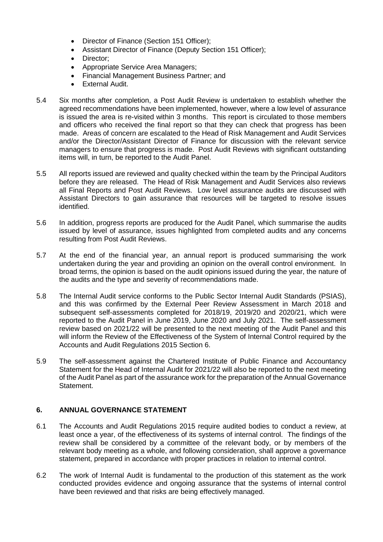- Director of Finance (Section 151 Officer):
- Assistant Director of Finance (Deputy Section 151 Officer);
- Director;
- Appropriate Service Area Managers;
- Financial Management Business Partner; and
- External Audit.
- 5.4 Six months after completion, a Post Audit Review is undertaken to establish whether the agreed recommendations have been implemented, however, where a low level of assurance is issued the area is re-visited within 3 months. This report is circulated to those members and officers who received the final report so that they can check that progress has been made. Areas of concern are escalated to the Head of Risk Management and Audit Services and/or the Director/Assistant Director of Finance for discussion with the relevant service managers to ensure that progress is made. Post Audit Reviews with significant outstanding items will, in turn, be reported to the Audit Panel.
- 5.5 All reports issued are reviewed and quality checked within the team by the Principal Auditors before they are released. The Head of Risk Management and Audit Services also reviews all Final Reports and Post Audit Reviews. Low level assurance audits are discussed with Assistant Directors to gain assurance that resources will be targeted to resolve issues identified.
- 5.6 In addition, progress reports are produced for the Audit Panel, which summarise the audits issued by level of assurance, issues highlighted from completed audits and any concerns resulting from Post Audit Reviews.
- 5.7 At the end of the financial year, an annual report is produced summarising the work undertaken during the year and providing an opinion on the overall control environment. In broad terms, the opinion is based on the audit opinions issued during the year, the nature of the audits and the type and severity of recommendations made.
- 5.8 The Internal Audit service conforms to the Public Sector Internal Audit Standards (PSIAS), and this was confirmed by the External Peer Review Assessment in March 2018 and subsequent self-assessments completed for 2018/19, 2019/20 and 2020/21, which were reported to the Audit Panel in June 2019, June 2020 and July 2021. The self-assessment review based on 2021/22 will be presented to the next meeting of the Audit Panel and this will inform the Review of the Effectiveness of the System of Internal Control required by the Accounts and Audit Regulations 2015 Section 6.
- 5.9 The self-assessment against the Chartered Institute of Public Finance and Accountancy Statement for the Head of Internal Audit for 2021/22 will also be reported to the next meeting of the Audit Panel as part of the assurance work for the preparation of the Annual Governance Statement.

# **6. ANNUAL GOVERNANCE STATEMENT**

- 6.1 The Accounts and Audit Regulations 2015 require audited bodies to conduct a review, at least once a year, of the effectiveness of its systems of internal control. The findings of the review shall be considered by a committee of the relevant body, or by members of the relevant body meeting as a whole, and following consideration, shall approve a governance statement, prepared in accordance with proper practices in relation to internal control.
- 6.2 The work of Internal Audit is fundamental to the production of this statement as the work conducted provides evidence and ongoing assurance that the systems of internal control have been reviewed and that risks are being effectively managed.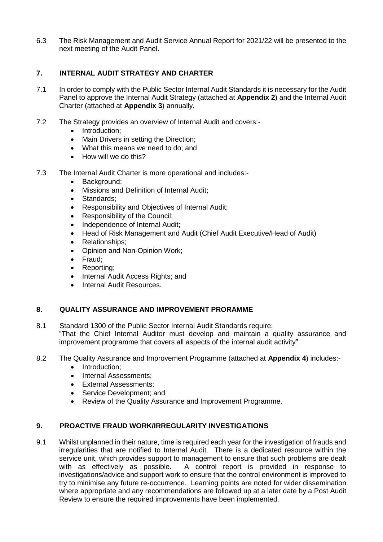6.3 The Risk Management and Audit Service Annual Report for 2021/22 will be presented to the next meeting of the Audit Panel.

## **7. INTERNAL AUDIT STRATEGY AND CHARTER**

- 7.1 In order to comply with the Public Sector Internal Audit Standards it is necessary for the Audit Panel to approve the Internal Audit Strategy (attached at **Appendix 2**) and the Internal Audit Charter (attached at **Appendix 3**) annually.
- 7.2 The Strategy provides an overview of Internal Audit and covers:-
	- Introduction;
	- Main Drivers in setting the Direction;
	- What this means we need to do: and
	- How will we do this?
- 7.3 The Internal Audit Charter is more operational and includes:-
	- Background:
	- Missions and Definition of Internal Audit:
	- Standards:
	- Responsibility and Objectives of Internal Audit;
	- Responsibility of the Council;
	- Independence of Internal Audit;
	- Head of Risk Management and Audit (Chief Audit Executive/Head of Audit)
	- Relationships;
	- Opinion and Non-Opinion Work;
	- Fraud:
	- Reporting;
	- Internal Audit Access Rights; and
	- Internal Audit Resources.

## **8. QUALITY ASSURANCE AND IMPROVEMENT PRORAMME**

- 8.1 Standard 1300 of the Public Sector Internal Audit Standards require: "That the Chief Internal Auditor must develop and maintain a quality assurance and improvement programme that covers all aspects of the internal audit activity".
- 8.2 The Quality Assurance and Improvement Programme (attached at **Appendix 4**) includes:-
	- Introduction:
	- Internal Assessments;
	- **•** External Assessments;
	- Service Development; and
	- Review of the Quality Assurance and Improvement Programme.

## **9. PROACTIVE FRAUD WORK/IRREGULARITY INVESTIGATIONS**

9.1 Whilst unplanned in their nature, time is required each year for the investigation of frauds and irregularities that are notified to Internal Audit. There is a dedicated resource within the service unit, which provides support to management to ensure that such problems are dealt with as effectively as possible. A control report is provided in response to investigations/advice and support work to ensure that the control environment is improved to try to minimise any future re-occurrence. Learning points are noted for wider dissemination where appropriate and any recommendations are followed up at a later date by a Post Audit Review to ensure the required improvements have been implemented.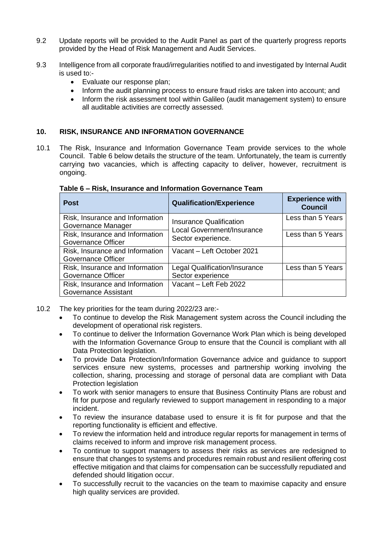- 9.2 Update reports will be provided to the Audit Panel as part of the quarterly progress reports provided by the Head of Risk Management and Audit Services.
- 9.3 Intelligence from all corporate fraud/irregularities notified to and investigated by Internal Audit is used to:-
	- Evaluate our response plan;
	- Inform the audit planning process to ensure fraud risks are taken into account; and
	- Inform the risk assessment tool within Galileo (audit management system) to ensure all auditable activities are correctly assessed.

## **10. RISK, INSURANCE AND INFORMATION GOVERNANCE**

10.1 The Risk, Insurance and Information Governance Team provide services to the whole Council. Table 6 below details the structure of the team. Unfortunately, the team is currently carrying two vacancies, which is affecting capacity to deliver, however, recruitment is ongoing.

| <b>Post</b>                                                  | <b>Qualification/Experience</b>                           | <b>Experience with</b><br><b>Council</b> |
|--------------------------------------------------------------|-----------------------------------------------------------|------------------------------------------|
| Risk, Insurance and Information<br>Governance Manager        | Insurance Qualification<br>Local Government/Insurance     | Less than 5 Years                        |
| Risk, Insurance and Information<br>Governance Officer        | Sector experience.                                        | Less than 5 Years                        |
| Risk, Insurance and Information<br><b>Governance Officer</b> | Vacant - Left October 2021                                |                                          |
| Risk, Insurance and Information<br>Governance Officer        | <b>Legal Qualification/Insurance</b><br>Sector experience | Less than 5 Years                        |
| Risk, Insurance and Information<br>Governance Assistant      | Vacant - Left Feb 2022                                    |                                          |

#### **Table 6 – Risk, Insurance and Information Governance Team**

- 10.2 The key priorities for the team during 2022/23 are:-
	- To continue to develop the Risk Management system across the Council including the development of operational risk registers.
	- To continue to deliver the Information Governance Work Plan which is being developed with the Information Governance Group to ensure that the Council is compliant with all Data Protection legislation.
	- To provide Data Protection/Information Governance advice and guidance to support services ensure new systems, processes and partnership working involving the collection, sharing, processing and storage of personal data are compliant with Data Protection legislation
	- To work with senior managers to ensure that Business Continuity Plans are robust and fit for purpose and regularly reviewed to support management in responding to a major incident.
	- To review the insurance database used to ensure it is fit for purpose and that the reporting functionality is efficient and effective.
	- To review the information held and introduce regular reports for management in terms of claims received to inform and improve risk management process.
	- To continue to support managers to assess their risks as services are redesigned to ensure that changes to systems and procedures remain robust and resilient offering cost effective mitigation and that claims for compensation can be successfully repudiated and defended should litigation occur.
	- To successfully recruit to the vacancies on the team to maximise capacity and ensure high quality services are provided.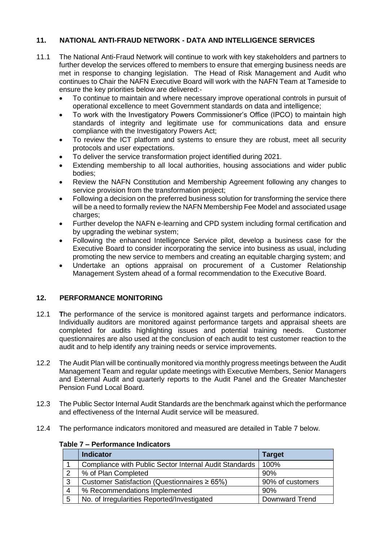# **11. NATIONAL ANTI-FRAUD NETWORK - DATA AND INTELLIGENCE SERVICES**

- 11.1 The National Anti-Fraud Network will continue to work with key stakeholders and partners to further develop the services offered to members to ensure that emerging business needs are met in response to changing legislation. The Head of Risk Management and Audit who continues to Chair the NAFN Executive Board will work with the NAFN Team at Tameside to ensure the key priorities below are delivered:-
	- To continue to maintain and where necessary improve operational controls in pursuit of operational excellence to meet Government standards on data and intelligence;
	- To work with the Investigatory Powers Commissioner's Office (IPCO) to maintain high standards of integrity and legitimate use for communications data and ensure compliance with the Investigatory Powers Act;
	- To review the ICT platform and systems to ensure they are robust, meet all security protocols and user expectations.
	- To deliver the service transformation project identified during 2021.
	- Extending membership to all local authorities, housing associations and wider public bodies;
	- Review the NAFN Constitution and Membership Agreement following any changes to service provision from the transformation project;
	- Following a decision on the preferred business solution for transforming the service there will be a need to formally review the NAFN Membership Fee Model and associated usage charges;
	- Further develop the NAFN e-learning and CPD system including formal certification and by upgrading the webinar system;
	- Following the enhanced Intelligence Service pilot, develop a business case for the Executive Board to consider incorporating the service into business as usual, including promoting the new service to members and creating an equitable charging system; and
	- Undertake an options appraisal on procurement of a Customer Relationship Management System ahead of a formal recommendation to the Executive Board.

# **12. PERFORMANCE MONITORING**

- 12.1 **T**he performance of the service is monitored against targets and performance indicators. Individually auditors are monitored against performance targets and appraisal sheets are completed for audits highlighting issues and potential training needs. Customer questionnaires are also used at the conclusion of each audit to test customer reaction to the audit and to help identify any training needs or service improvements.
- 12.2 The Audit Plan will be continually monitored via monthly progress meetings between the Audit Management Team and regular update meetings with Executive Members, Senior Managers and External Audit and quarterly reports to the Audit Panel and the Greater Manchester Pension Fund Local Board.
- 12.3 The Public Sector Internal Audit Standards are the benchmark against which the performance and effectiveness of the Internal Audit service will be measured.
- 12.4 The performance indicators monitored and measured are detailed in Table 7 below.

|                | <b>Indicator</b>                                              | <b>Target</b>         |
|----------------|---------------------------------------------------------------|-----------------------|
|                | <b>Compliance with Public Sector Internal Audit Standards</b> | 100%                  |
| 2              | % of Plan Completed                                           | 90%                   |
| 3              | Customer Satisfaction (Questionnaires $\geq 65\%$ )           | 90% of customers      |
| $\overline{4}$ | % Recommendations Implemented                                 | 90%                   |
| 5              | No. of Irregularities Reported/Investigated                   | <b>Downward Trend</b> |

## **Table 7 – Performance Indicators**